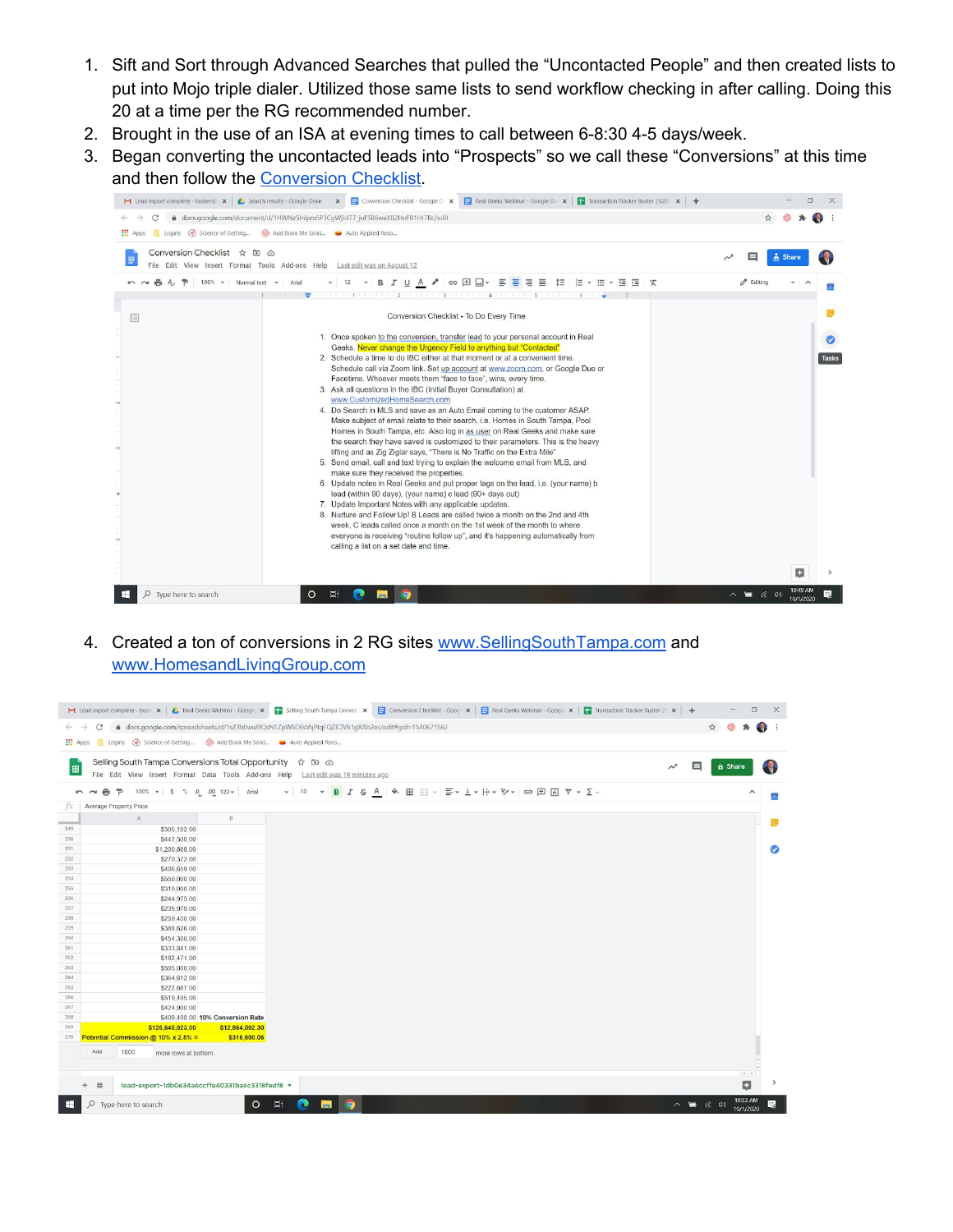- 1. Sift and Sort through Advanced Searches that pulled the "Uncontacted People" and then created lists to put into Mojo triple dialer. Utilized those same lists to send workflow checking in after calling. Doing this 20 at a time per the RG recommended number.
- 2. Brought in the use of an ISA at evening times to call between 6-8:30 4-5 days/week.
- 3. Began converting the uncontacted leads into "Prospects" so we call these "Conversions" at this time and then follow the [Conversion](https://docs.google.com/document/d/1HWNz5lnlpm5P3CgWjJdT7_juFSB6waXB2HoFB1Hr7Bc/edit?usp=sharing) Checklist.



4. Created a ton of conversions in 2 RG sites [www.SellingSouthTampa.com](http://www.sellingsouthtampa.com/) and [www.HomesandLivingGroup.com](http://www.homesandlivinggroup.com/)

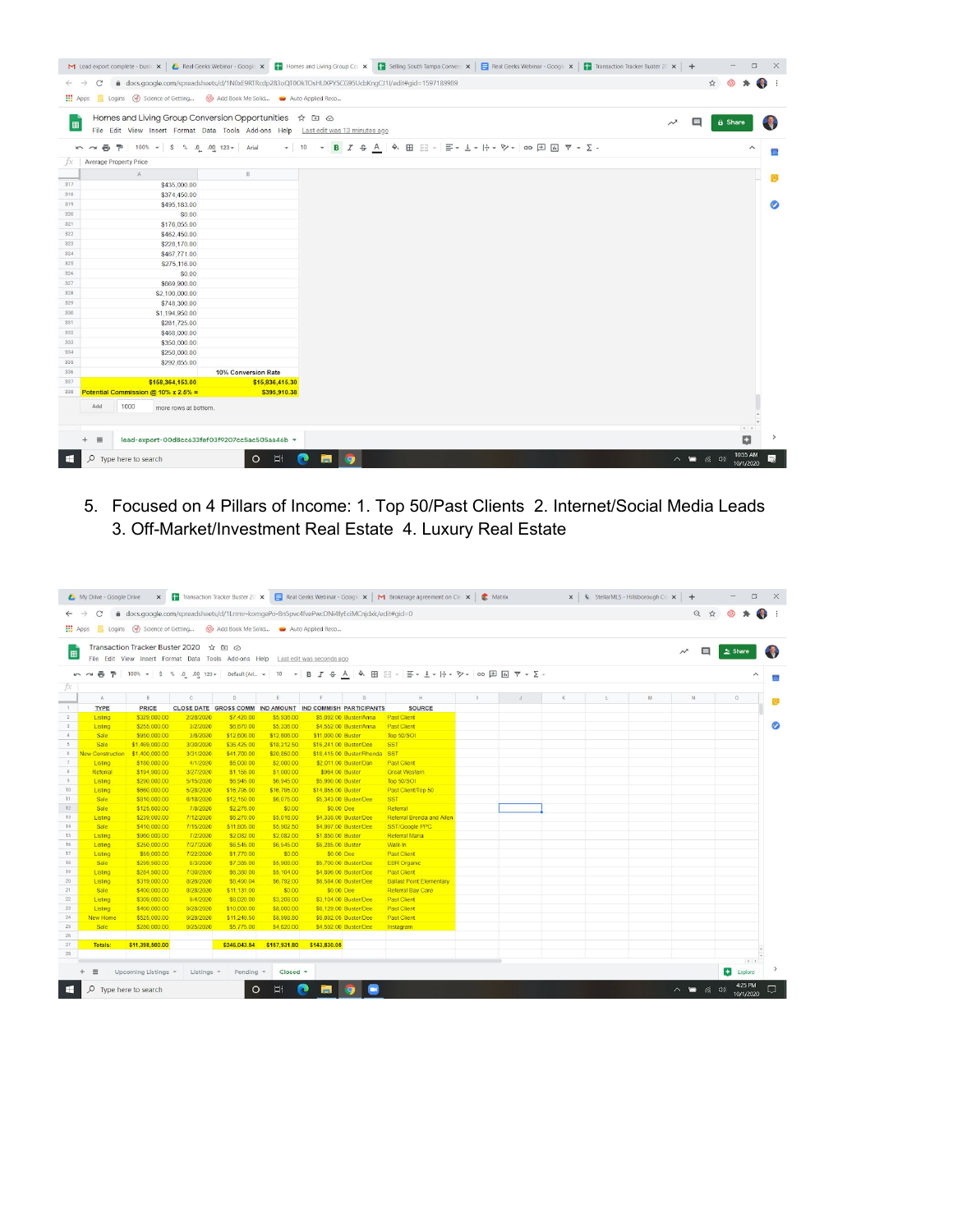

5. Focused on 4 Pillars of Income: 1. Top 50/Past Clients 2. Internet/Social Media Leads 3. Off-Market/Investment Real Estate 4. Luxury Real Estate

|                         |                              | THE Apps Logins (w) Science of Getting @ Add Book Me Solid . Auto Applied Reco                                          |                          |                          |                    |                                                           |                                                                                                                                                                                                   |  |   |   |        |                   |
|-------------------------|------------------------------|-------------------------------------------------------------------------------------------------------------------------|--------------------------|--------------------------|--------------------|-----------------------------------------------------------|---------------------------------------------------------------------------------------------------------------------------------------------------------------------------------------------------|--|---|---|--------|-------------------|
|                         |                              | Transaction Tracker Buster 2020 ☆ 面 ◎<br>File Edit View Insert Format Data Tools Add-ons Help Last edit was seconds ago |                          |                          |                    |                                                           |                                                                                                                                                                                                   |  |   |   | $\Box$ | $\triangle$ Share |
|                         |                              |                                                                                                                         |                          |                          |                    |                                                           | <u> κ α 画</u> <sup>p</sup>   100% v   S % 0 0 0 123 v   Default (Ari. v   10   v   B   <i>I</i> + A   Φ   田 Ξ v   Ξ v   <del>  ν</del>   ν  <br><th></th> <th></th> <th></th> <th></th> <th></th> |  |   |   |        |                   |
| A                       | $\,$ B                       | $\mathbb{C}$                                                                                                            | D                        | E                        | F                  | $\mathbf G$                                               | H                                                                                                                                                                                                 |  | K | M | N      | $\circ$           |
| <b>TYPE</b>             | <b>PRICE</b>                 |                                                                                                                         |                          |                          |                    | CLOSE DATE GROSS COMM IND AMOUNT IND COMMISH PARTICIPANTS | <b>SOURCE</b>                                                                                                                                                                                     |  |   |   |        |                   |
| Listing                 | \$329,000.00                 | 2/28/2020                                                                                                               | \$7,420.00               | \$5,936.00               |                    | \$5,092.00 Buster/Anna                                    | <b>Past Client</b>                                                                                                                                                                                |  |   |   |        |                   |
| Listing                 | \$255,000.00                 | 3/2/2020                                                                                                                | \$6,670.00               | \$5,336,00               |                    | \$4,552.00 Buster/Anna                                    | <b>Past Client</b>                                                                                                                                                                                |  |   |   |        |                   |
| <b>Sale</b>             | \$950,000.00                 | 3/6/2020                                                                                                                | \$12,606.00              | \$12,606.00              | \$11,000.00 Buster |                                                           | Top 50/SOI                                                                                                                                                                                        |  |   |   |        |                   |
| Sale                    | \$1,469,000.00               | 3/30/2020                                                                                                               | \$36,425.00              | \$18,212.50              |                    | \$16,241.00 Buster/Dee                                    | <b>SST</b>                                                                                                                                                                                        |  |   |   |        |                   |
| <b>New Construction</b> | \$1,400,000.00               | 3/31/2020                                                                                                               | \$41,700.00              | \$20,850.00              |                    | \$18,415,00 Buster/Rhonda                                 | <b>SST</b>                                                                                                                                                                                        |  |   |   |        |                   |
| Listing                 | \$180,000.00                 | 4/1/2020                                                                                                                | \$5,000.00               | \$2,000.00               |                    | \$2,011.00 Buster/Dan                                     | <b>Past Client</b>                                                                                                                                                                                |  |   |   |        |                   |
| Referral                | \$194,900.00                 | 3/27/2020                                                                                                               | \$1,155.00               | \$1,000.00               | \$964.00 Buster    |                                                           | <b>Great Western</b>                                                                                                                                                                              |  |   |   |        |                   |
| Listing                 | \$290,000.00                 | 5/15/2020                                                                                                               | \$6,945.00               | \$6,945.00               | \$5,990.00 Buster  |                                                           | Top 50/SOI                                                                                                                                                                                        |  |   |   |        |                   |
| Listing                 | \$660,000.00                 | 5/28/2020                                                                                                               | \$16,795.00              | \$16,795.00              | \$14,855.00 Buster |                                                           | Past Client/Top 50                                                                                                                                                                                |  |   |   |        |                   |
| Sale                    | \$810,000.00                 | 6/18/2020                                                                                                               | \$12,150.00              | \$6,075.00               |                    | \$5,343,00 Buster/Dee                                     | <b>SST</b>                                                                                                                                                                                        |  |   |   |        |                   |
| Sale                    | \$125,600.00                 | 7/8/2020                                                                                                                | \$2,276.00               | \$0.00                   | \$0.00 Dee         |                                                           | Referral                                                                                                                                                                                          |  |   |   |        |                   |
| Listing                 | \$239,000.00                 | 7/12/2020                                                                                                               | \$6,270.00               | \$5,016.00               |                    | \$4,338,00 Buster/Dee                                     | <b>Referral Brenda and Allen</b>                                                                                                                                                                  |  |   |   |        |                   |
| Sale                    | \$410,000.00                 | 7/15/2020                                                                                                               | \$11,805.00              | \$5,902.50               |                    | \$4,997.00 Buster/Dee                                     | SST/Google PPC                                                                                                                                                                                    |  |   |   |        |                   |
| Listing                 | \$960,000.00                 | 7/2/2020                                                                                                                | \$2,082.00               | \$2,082.00               | \$1,850.00 Buster  |                                                           | Referral Maria                                                                                                                                                                                    |  |   |   |        |                   |
| Listing                 | \$250,000.00                 | 7/27/2020                                                                                                               | \$6,545.00               | \$6,545.00               | \$6,285,00 Buster  |                                                           | Walk-In                                                                                                                                                                                           |  |   |   |        |                   |
| Listing                 | \$59,000.00                  | 7/22/2020                                                                                                               | \$1,770.00               | \$0.00                   | \$0.00 Dee         |                                                           | <b>Past Client</b>                                                                                                                                                                                |  |   |   |        |                   |
| Sale                    | \$299,500.00<br>\$284,500.00 | 8/3/2020                                                                                                                | \$7,385.00<br>\$6,380.00 | \$5,908.00               |                    | \$5,700.00 Buster/Dee                                     | <b>EBR</b> Organic                                                                                                                                                                                |  |   |   |        |                   |
| Listing                 | \$319,000.00                 | 7/30/2020<br>8/26/2020                                                                                                  | \$8,490.04               | \$5,104.00<br>\$6,792.00 |                    | \$4,896.00 Buster/Dee<br>\$6,584.00 Buster/Dee            | <b>Past Client</b><br><b>Ballast Point Elementary</b>                                                                                                                                             |  |   |   |        |                   |
| Listing<br>Sale         | \$400,000.00                 | 8/28/2020                                                                                                               | \$11,131.00              | \$0.00                   | \$0.00 Dee         |                                                           | <b>Referral Bay Care</b>                                                                                                                                                                          |  |   |   |        |                   |
| Listing                 | \$309,000.00                 | 9/4/2020                                                                                                                | \$8,020.00               | \$3,208.00               |                    | \$3,104.00 Buster/Dee                                     | <b>Past Client</b>                                                                                                                                                                                |  |   |   |        |                   |
| Listing                 | \$400,000.00                 | 9/28/2020                                                                                                               | \$10,000.00              | \$8,000.00               |                    | \$8,129,00 Buster/Dee                                     | <b>Past Client</b>                                                                                                                                                                                |  |   |   |        |                   |
| <b>New Home</b>         | \$525,000.00                 | 9/28/2020                                                                                                               | \$11,248.50              | \$8,998.80               |                    | \$8,892.05 Buster/Dee                                     | <b>Past Client</b>                                                                                                                                                                                |  |   |   |        |                   |
| <b>Sale</b>             | \$280,000.00                 | 9/25/2020                                                                                                               | \$5,775.00               | \$4,620.00               |                    | \$4,592.00 Buster/Dee                                     | Instagram                                                                                                                                                                                         |  |   |   |        |                   |
|                         |                              |                                                                                                                         |                          |                          |                    |                                                           |                                                                                                                                                                                                   |  |   |   |        |                   |
| Totals:                 | \$11,398,500.00              |                                                                                                                         | \$246,043.54             | \$157,931.80             | \$143,830.05       |                                                           |                                                                                                                                                                                                   |  |   |   |        |                   |
|                         |                              |                                                                                                                         |                          |                          |                    |                                                           |                                                                                                                                                                                                   |  |   |   |        |                   |
|                         |                              |                                                                                                                         |                          |                          |                    |                                                           |                                                                                                                                                                                                   |  |   |   |        | $\leftarrow$      |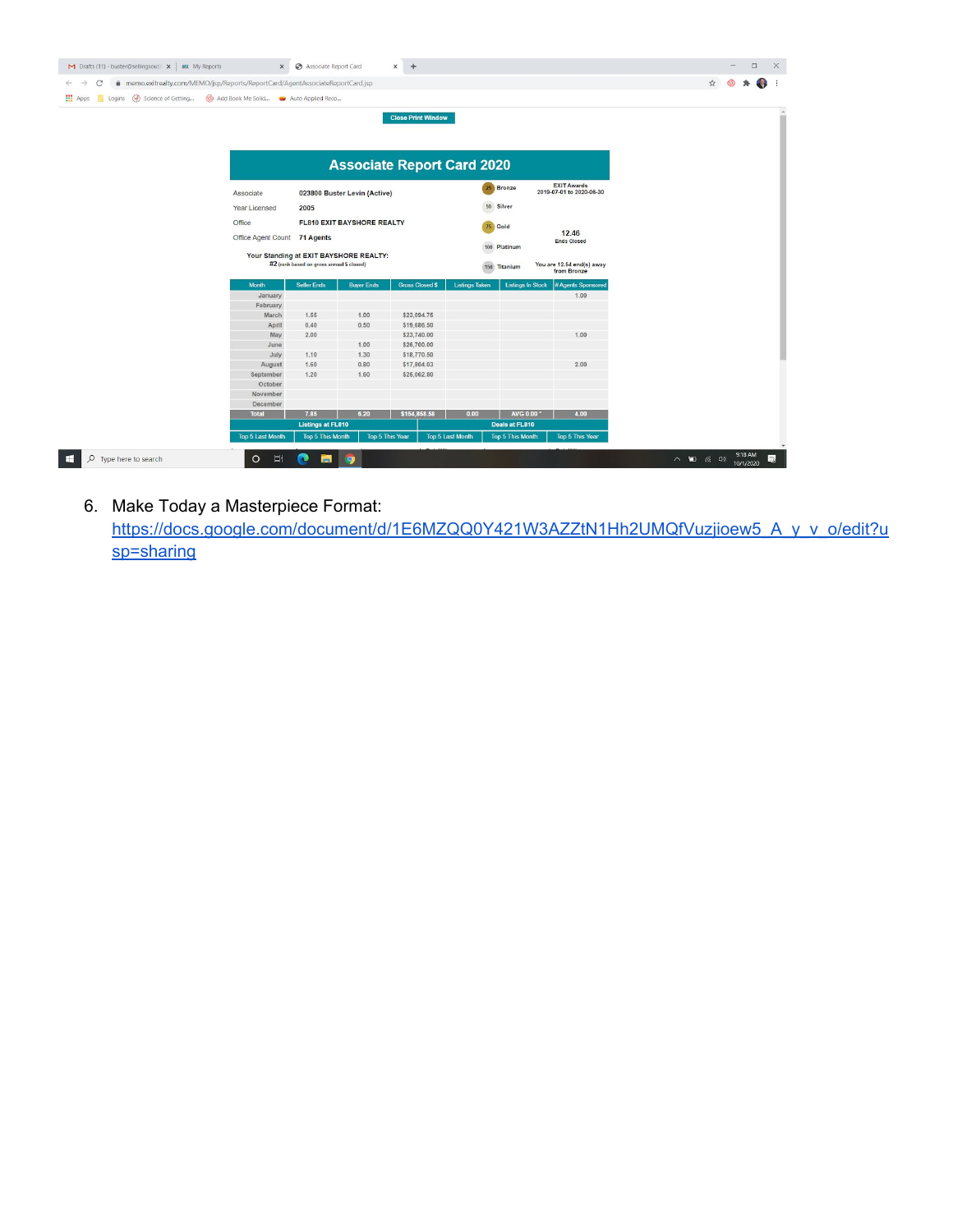| memo.exitrealty.com/MEMO/jsp/Reports/ReportCard/AgentAssociateReportCard.jsp<br>C<br>$\leftarrow$ $\rightarrow$ |                              |                                                                                     |                        |                                                                |                         |                          |                                                | ☆ |  |  |
|-----------------------------------------------------------------------------------------------------------------|------------------------------|-------------------------------------------------------------------------------------|------------------------|----------------------------------------------------------------|-------------------------|--------------------------|------------------------------------------------|---|--|--|
| THE Apps Logins (w) Science of Getting @ Add Book Me Solid . Auto Applied Reco                                  |                              |                                                                                     |                        |                                                                |                         |                          |                                                |   |  |  |
|                                                                                                                 |                              |                                                                                     |                        | <b>Close Print Window</b><br><b>Associate Report Card 2020</b> |                         |                          |                                                |   |  |  |
| Associate                                                                                                       |                              | 023800 Buster Levin (Active)                                                        |                        |                                                                | 25                      | Bronze                   | <b>EXIT Awards</b><br>2019-07-01 to 2020-06-30 |   |  |  |
| Year Licensed                                                                                                   |                              | 2005                                                                                |                        |                                                                |                         | 50 Silver                |                                                |   |  |  |
| Office                                                                                                          |                              | FL810 EXIT BAYSHORE REALTY                                                          |                        |                                                                |                         | 75 Gold                  |                                                |   |  |  |
|                                                                                                                 | Office Agent Count 71 Agents |                                                                                     |                        |                                                                |                         | 100 Platinum             | 12.46<br><b>Ends Closed</b>                    |   |  |  |
|                                                                                                                 |                              | Your Standing at EXIT BAYSHORE REALTY:<br>#2 (rank based on gross annual \$ closed) |                        |                                                                |                         | 150 Titanium             | You are 12.54 end(s) away<br>from Bronze       |   |  |  |
| Month                                                                                                           |                              | <b>Seller Ends</b>                                                                  | <b>Buyer Ends</b>      | <b>Gross Closed \$</b>                                         | <b>Listings Taken</b>   | <b>Listings In Stock</b> | # Agents Sponsored                             |   |  |  |
|                                                                                                                 | January                      |                                                                                     |                        |                                                                |                         |                          | 1.00                                           |   |  |  |
|                                                                                                                 | February                     |                                                                                     |                        |                                                                |                         |                          |                                                |   |  |  |
|                                                                                                                 | March                        | 1.55                                                                                | 1.00                   | \$23,094.75                                                    |                         |                          |                                                |   |  |  |
|                                                                                                                 | April                        | 0.40                                                                                | 0.50                   | \$19,686.50                                                    |                         |                          |                                                |   |  |  |
|                                                                                                                 | May                          | 2.00                                                                                |                        | \$23,740.00                                                    |                         |                          | 1.00                                           |   |  |  |
|                                                                                                                 | June                         |                                                                                     | 1.00                   | \$26,700.00                                                    |                         |                          |                                                |   |  |  |
|                                                                                                                 | July                         | 1.10                                                                                | 1.30                   | \$18,770.50                                                    |                         |                          |                                                |   |  |  |
|                                                                                                                 | August                       | 1.60                                                                                | 0.80                   | \$17,804.03                                                    |                         |                          | 2.00                                           |   |  |  |
|                                                                                                                 | September                    | 1.20                                                                                | 1.60                   | \$25,062.80                                                    |                         |                          |                                                |   |  |  |
|                                                                                                                 | October                      |                                                                                     |                        |                                                                |                         |                          |                                                |   |  |  |
|                                                                                                                 | November                     |                                                                                     |                        |                                                                |                         |                          |                                                |   |  |  |
|                                                                                                                 | December                     | 7.85                                                                                |                        |                                                                |                         |                          |                                                |   |  |  |
| <b>Total</b>                                                                                                    |                              |                                                                                     | 6.20                   | \$154,858.58                                                   | 0.00                    | AVG 0.00                 | 4.00                                           |   |  |  |
|                                                                                                                 |                              | <b>Listings at FL810</b>                                                            |                        |                                                                |                         | Deals at FL810           |                                                |   |  |  |
|                                                                                                                 | <b>Top 5 Last Month</b>      | <b>Top 5 This Month</b>                                                             | <b>Top 5 This Year</b> |                                                                | <b>Top 5 Last Month</b> | <b>Top 5 This Month</b>  | <b>Top 5 This Year</b>                         |   |  |  |

6. Make Today a Masterpiece Format: https://docs.google.com/document/d/1E6MZQQ0Y421W3AZZtN1Hh2UMQfVuzjioew5\_A\_y\_v\_o/edit?u sp=sharing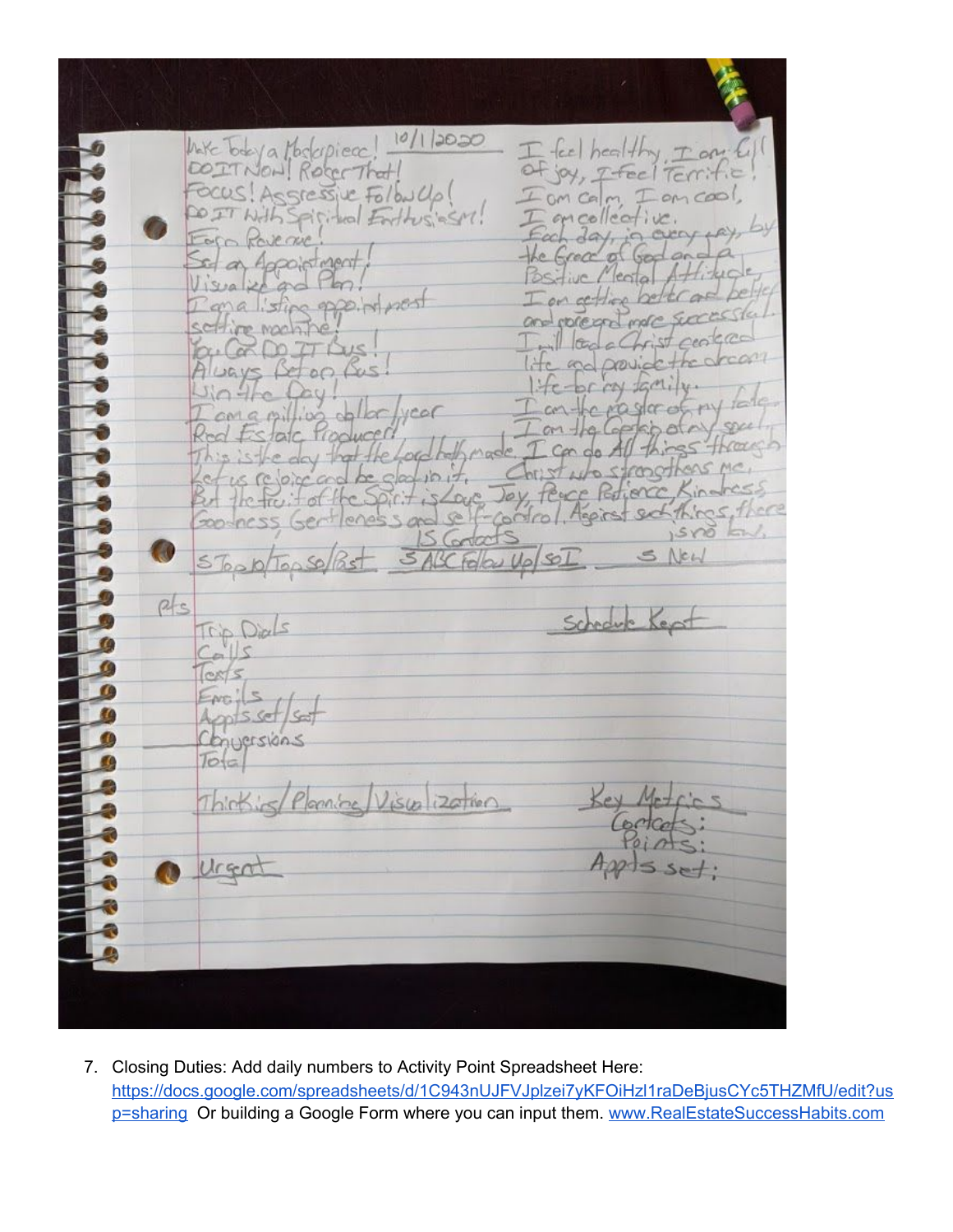$10/12020$ Note Today a Moskepiece  $I$  for  $healHry$ EN PERSONAL DE L'ESTREMENT Ton DOITNON Rocc That of joy, I feel Terrific FOCUS! Assressive Follow Up! om calm  $-m\cos\theta$ oncollective Foro Ro  $the$ set as Appointment lental  $\sqrt{1.5/9}$ I on certified ppe. in nost  $a$   $sin$ and processor ma ine mon  $||\alpha||$  $\sim$  $\sim$ Drovic  $200$  $H - DCM$ my tail ragore  $cona$   $p$ illion of kbole  $m + q (q)$ tatc trop hmade I can do All the Loc This is the day that Chilitato  $i \circ i \neq i$ Let us relogicoso the station to Jay, Perce Refience, Kindress But the fivit of the Goodness Gent  $isvo'$   $km'$ , S Contacts G. 3 ABC Follow Up SOI 5 Top D/Top So/Past S New  $p/s$ Schedule Kept Trip Dids  $C_{\alpha}$ lls  $Cests$  $E_{\text{NC}}$ /s  $\overline{\mathcal{L}}$ nts set/set  $\overline{a}$ Chingersions  $Totc$ Planning Visualization Thinking 1 Urgat  $A$ ppts set:

7. Closing Duties: Add daily numbers to Activity Point Spreadsheet Here: [https://docs.google.com/spreadsheets/d/1C943nUJFVJplzei7yKFOiHzl1raDeBjusCYc5THZMfU/edit?us](https://docs.google.com/spreadsheets/d/1C943nUJFVJplzei7yKFOiHzl1raDeBjusCYc5THZMfU/edit?usp=sharing) [p=sharing](https://docs.google.com/spreadsheets/d/1C943nUJFVJplzei7yKFOiHzl1raDeBjusCYc5THZMfU/edit?usp=sharing) Or building a Google Form where you can input them. [www.RealEstateSuccessHabits.com](http://www.realestatesuccesshabits.com/)